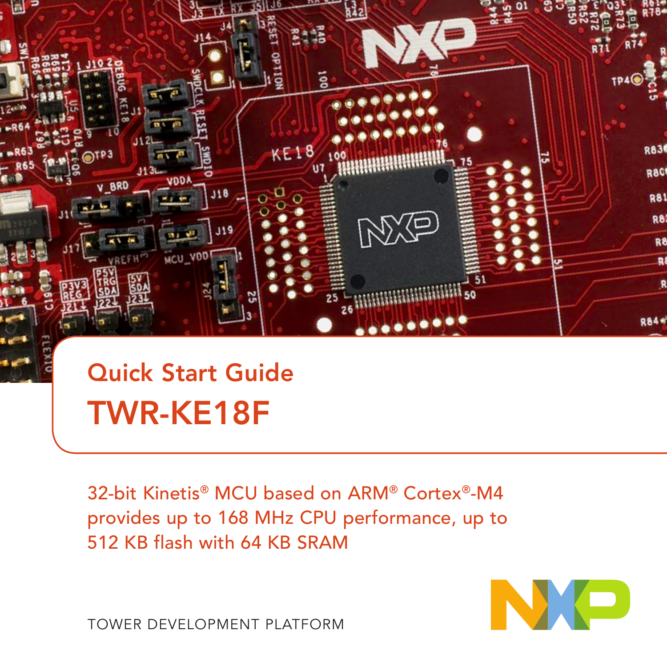

### Quick Start Guide TWR-KE18F

32-bit Kinetis® MCU based on ARM® Cortex®-M4 provides up to 168 MHz CPU performance, up to 512 KB flash with 64 KB SRAM



TOWER DEVELOPMENT PLATFORM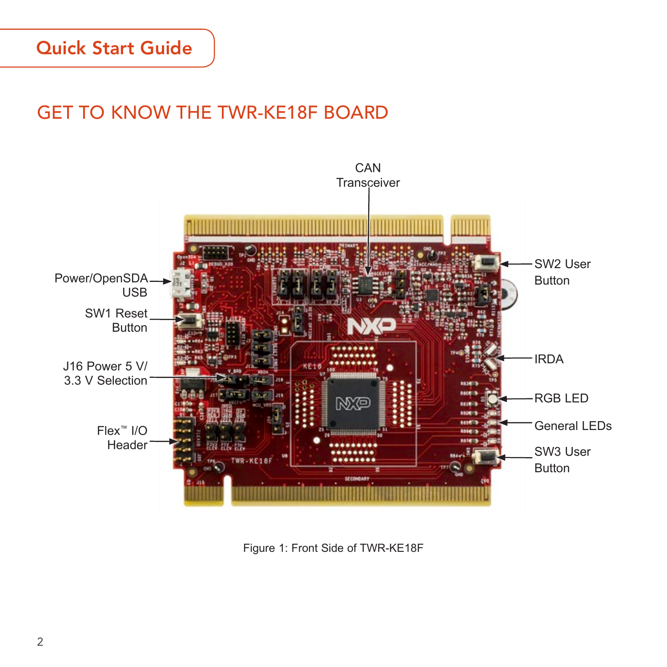### Quick Start Guide

### GET TO KNOW THE TWR-KE18F BOARD



Figure 1: Front Side of TWR-KE18F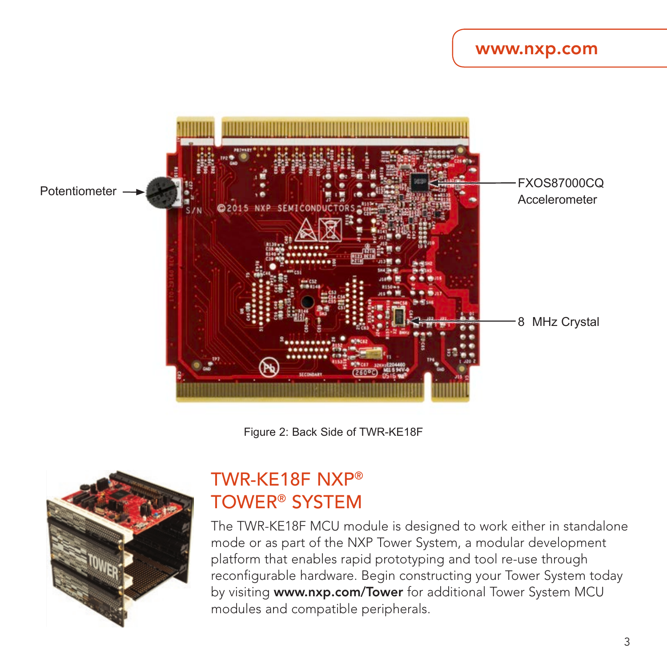#### www.nxp.com



Figure 2: Back Side of TWR-KE18F



### TWR-KE18F NXP® TOWER® SYSTEM

The TWR-KE18F MCU module is designed to work either in standalone mode or as part of the NXP Tower System, a modular development platform that enables rapid prototyping and tool re-use through reconfigurable hardware. Begin constructing your Tower System today by visiting www.nxp.com/Tower for additional Tower System MCU modules and compatible peripherals.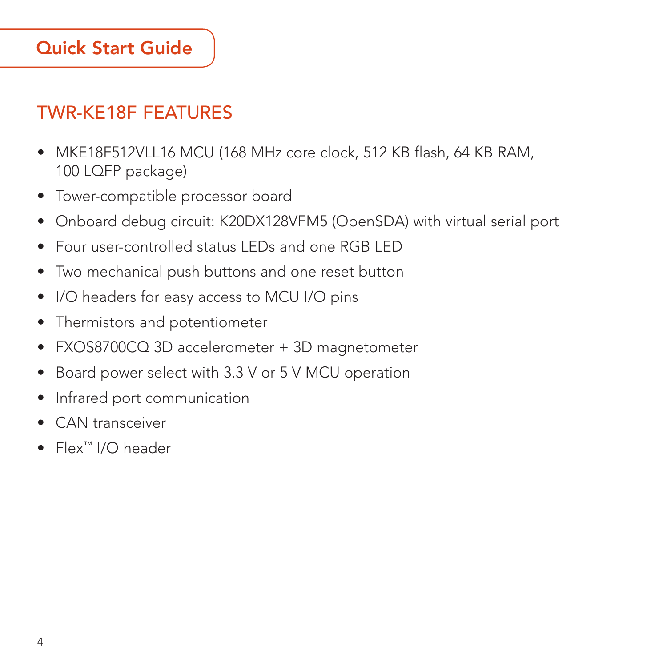### Quick Start Guide

### TWR-KE18F FEATURES

- MKE18F512VLL16 MCU (168 MHz core clock, 512 KB flash, 64 KB RAM, 100 LQFP package)
- Tower-compatible processor board
- Onboard debug circuit: K20DX128VFM5 (OpenSDA) with virtual serial port
- Four user-controlled status LEDs and one RGB LED
- Two mechanical push buttons and one reset button
- I/O headers for easy access to MCU I/O pins
- Thermistors and potentiometer
- FXOS8700CQ 3D accelerometer + 3D magnetometer
- Board power select with 3.3 V or 5 V MCU operation
- Infrared port communication
- CAN transceiver
- Flex™ I/O header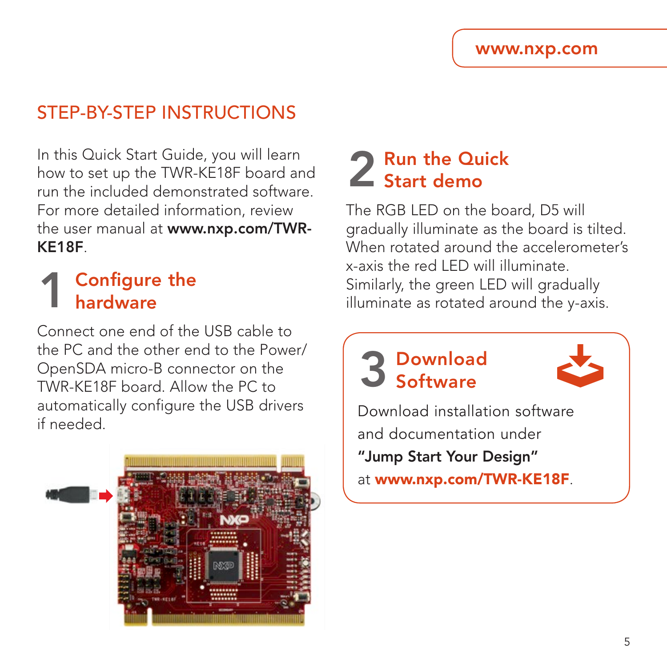### STEP-RY-STEP INSTRUCTIONS

In this Quick Start Guide, you will learn how to set up the TWR-KE18F board and run the included demonstrated software. For more detailed information, review the user manual at www.nxp.com/TWR-KE18F.

### **Configure the** hardware

Connect one end of the USB cable to the PC and the other end to the Power/ OpenSDA micro-B connector on the TWR-KE18F board. Allow the PC to automatically configure the USB drivers if needed.



## 2 Run the Quick<br>2 Start demo

The RGB LED on the board, D5 will gradually illuminate as the board is tilted. When rotated around the accelerometer's x-axis the red LED will illuminate. Similarly, the green LED will gradually illuminate as rotated around the y-axis.

# 3 Download Software



Download installation software and documentation under "Jump Start Your Design"

at www.nxp.com/TWR-KE18F.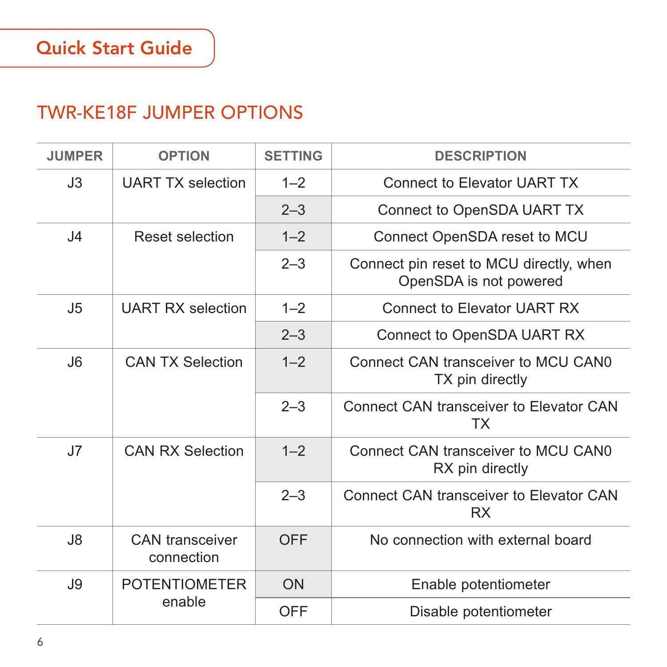### TWR-KE18F JUMPER OPTIONS

| <b>JUMPER</b>  | <b>OPTION</b>                        | <b>SETTING</b> | <b>DESCRIPTION</b>                                                |
|----------------|--------------------------------------|----------------|-------------------------------------------------------------------|
| J3             | <b>UART TX selection</b>             | $1 - 2$        | Connect to Elevator UART TX                                       |
|                |                                      | $2 - 3$        | Connect to OpenSDA UART TX                                        |
| 4              | Reset selection                      | $1 - 2$        | Connect OpenSDA reset to MCU                                      |
|                |                                      | $2 - 3$        | Connect pin reset to MCU directly, when<br>OpenSDA is not powered |
| J5             | <b>UART RX selection</b>             | $1 - 2$        | Connect to Flevator UART RX                                       |
|                |                                      | $2 - 3$        | Connect to OpenSDA UART RX                                        |
| J6             | <b>CAN TX Selection</b>              | $1 - 2$        | Connect CAN transceiver to MCU CAN0<br>TX pin directly            |
|                |                                      | $2 - 3$        | Connect CAN transceiver to Elevator CAN<br>TX                     |
| J7             | <b>CAN RX Selection</b>              | $1 - 2$        | Connect CAN transceiver to MCU CANO<br>RX pin directly            |
|                |                                      | $2 - 3$        | Connect CAN transceiver to Elevator CAN<br><b>RX</b>              |
| 3 <sub>l</sub> | <b>CAN</b> transceiver<br>connection | OFF            | No connection with external board                                 |
| J9             | <b>POTENTIOMETER</b><br>enable       | ON             | Enable potentiometer                                              |
|                |                                      | OFF            | Disable potentiometer                                             |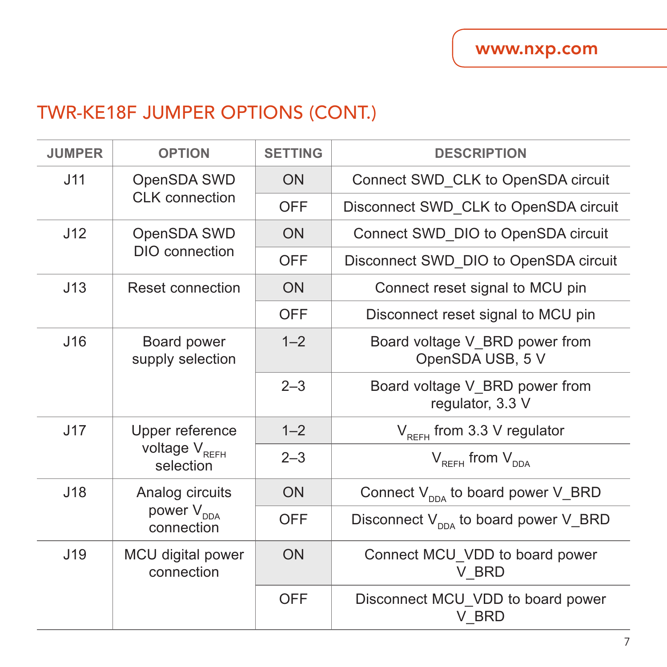### TWR-KE18F JUMPER OPTIONS (CONT.)

| <b>JUMPER</b> | <b>OPTION</b>                                             | <b>SETTING</b> | <b>DESCRIPTION</b>                                 |
|---------------|-----------------------------------------------------------|----------------|----------------------------------------------------|
| J11           | OpenSDA SWD<br>CLK connection                             | ON             | Connect SWD CLK to OpenSDA circuit                 |
|               |                                                           | OFF            | Disconnect SWD CLK to OpenSDA circuit              |
| J12           | OpenSDA SWD<br>DIO connection                             | ON             | Connect SWD DIO to OpenSDA circuit                 |
|               |                                                           | OFF            | Disconnect SWD DIO to OpenSDA circuit              |
| J13           | Reset connection                                          | ON             | Connect reset signal to MCU pin                    |
|               |                                                           | <b>OFF</b>     | Disconnect reset signal to MCU pin                 |
| J16           | Board power<br>supply selection                           | $1 - 2$        | Board voltage V BRD power from<br>OpenSDA USB, 5 V |
|               |                                                           | $2 - 3$        | Board voltage V BRD power from<br>regulator, 3.3 V |
| J17           | Upper reference<br>voltage V <sub>REFH</sub><br>selection | $1 - 2$        | $V_{BFFH}$ from 3.3 V regulator                    |
|               |                                                           | $2 - 3$        | $V_{RFFH}$ from $V_{DDA}$                          |
| J18           | Analog circuits<br>power V <sub>DDA</sub><br>connection   | ON             | Connect $V_{\text{DDA}}$ to board power V_BRD      |
|               |                                                           | OFF            | Disconnect $V_{\text{max}}$ to board power V_BRD   |
| J19           | MCU digital power<br>connection                           | ON             | Connect MCU VDD to board power<br>V BRD            |
|               |                                                           | OFF            | Disconnect MCU VDD to board power<br>V BRD         |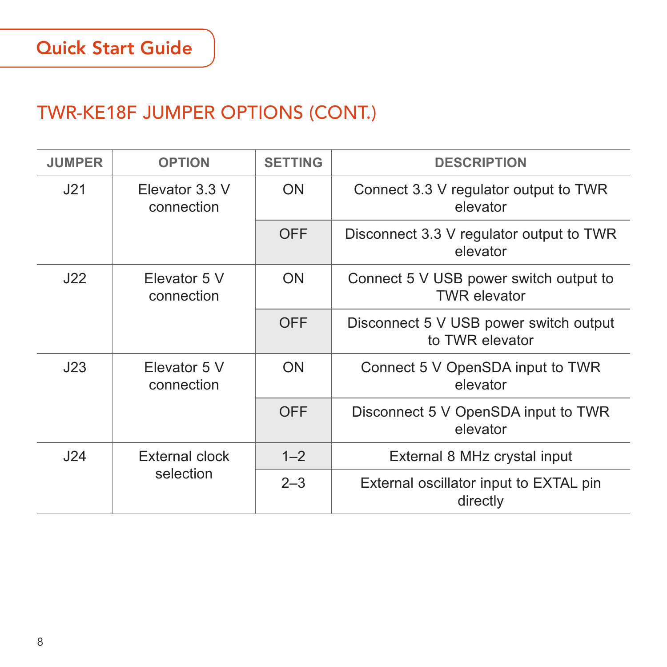### TWR-KE18F JUMPER OPTIONS (CONT.)

| <b>JUMPER</b> | <b>OPTION</b>                | <b>SETTING</b> | <b>DESCRIPTION</b>                                            |
|---------------|------------------------------|----------------|---------------------------------------------------------------|
| J21           | Elevator 3.3 V<br>connection | ON             | Connect 3.3 V regulator output to TWR<br>elevator             |
|               |                              | OFF            | Disconnect 3.3 V regulator output to TWR<br>elevator          |
| J22           | Flevator 5 V<br>connection   | ON             | Connect 5 V USB power switch output to<br><b>TWR</b> elevator |
|               |                              | <b>OFF</b>     | Disconnect 5 V USB power switch output<br>to TWR elevator     |
| J23           | Elevator 5 V<br>connection   | ON             | Connect 5 V OpenSDA input to TWR<br>elevator                  |
|               |                              | OFF            | Disconnect 5 V OpenSDA input to TWR<br>elevator               |
| J24           | External clock<br>selection  | $1 - 2$        | External 8 MHz crystal input                                  |
|               |                              | $2 - 3$        | External oscillator input to EXTAL pin<br>directly            |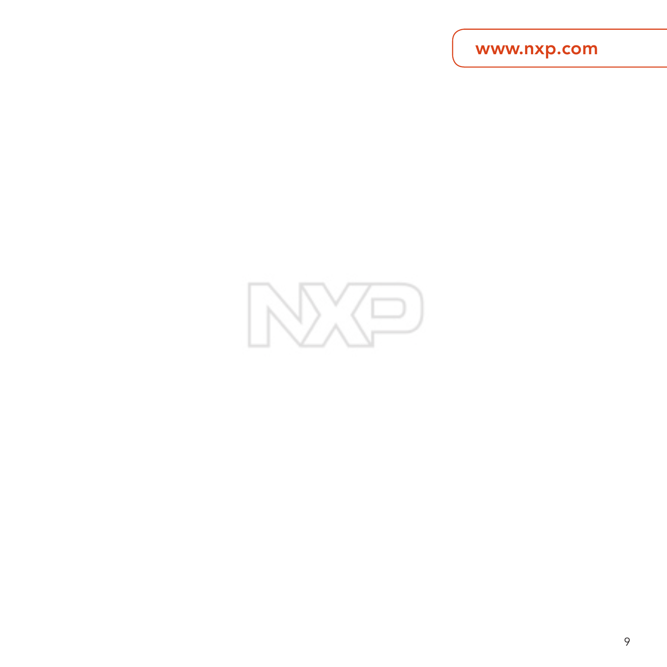www.nxp.com